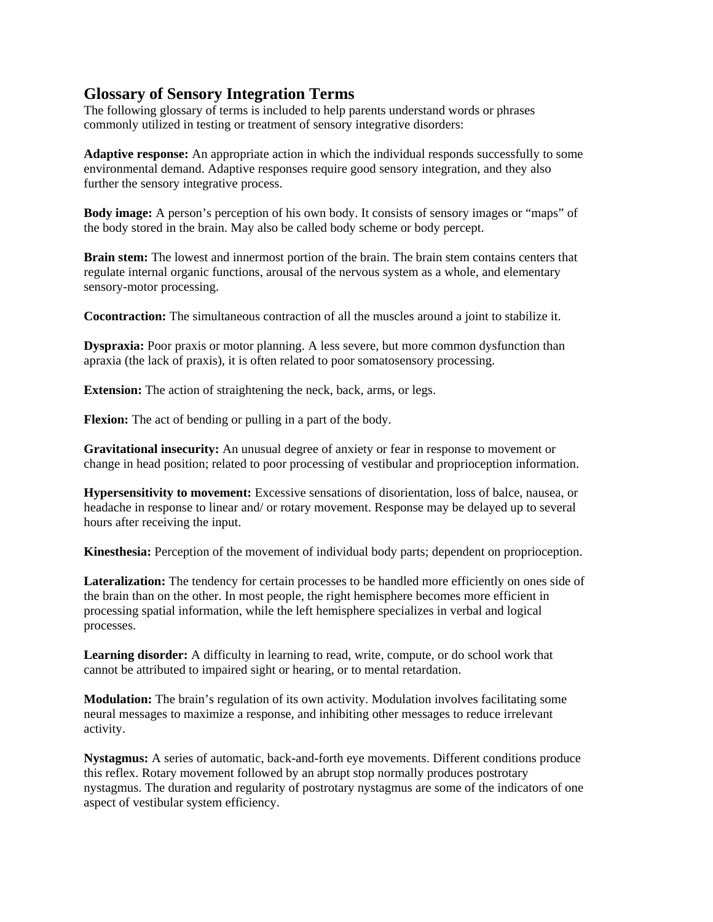## **Glossary of Sensory Integration Terms**

The following glossary of terms is included to help parents understand words or phrases commonly utilized in testing or treatment of sensory integrative disorders:

**Adaptive response:** An appropriate action in which the individual responds successfully to some environmental demand. Adaptive responses require good sensory integration, and they also further the sensory integrative process.

**Body image:** A person's perception of his own body. It consists of sensory images or "maps" of the body stored in the brain. May also be called body scheme or body percept.

**Brain stem:** The lowest and innermost portion of the brain. The brain stem contains centers that regulate internal organic functions, arousal of the nervous system as a whole, and elementary sensory-motor processing.

**Cocontraction:** The simultaneous contraction of all the muscles around a joint to stabilize it.

**Dyspraxia:** Poor praxis or motor planning. A less severe, but more common dysfunction than apraxia (the lack of praxis), it is often related to poor somatosensory processing.

**Extension:** The action of straightening the neck, back, arms, or legs.

**Flexion:** The act of bending or pulling in a part of the body.

**Gravitational insecurity:** An unusual degree of anxiety or fear in response to movement or change in head position; related to poor processing of vestibular and proprioception information.

**Hypersensitivity to movement:** Excessive sensations of disorientation, loss of balce, nausea, or headache in response to linear and/ or rotary movement. Response may be delayed up to several hours after receiving the input.

**Kinesthesia:** Perception of the movement of individual body parts; dependent on proprioception.

Lateralization: The tendency for certain processes to be handled more efficiently on ones side of the brain than on the other. In most people, the right hemisphere becomes more efficient in processing spatial information, while the left hemisphere specializes in verbal and logical processes.

**Learning disorder:** A difficulty in learning to read, write, compute, or do school work that cannot be attributed to impaired sight or hearing, or to mental retardation.

**Modulation:** The brain's regulation of its own activity. Modulation involves facilitating some neural messages to maximize a response, and inhibiting other messages to reduce irrelevant activity.

**Nystagmus:** A series of automatic, back-and-forth eye movements. Different conditions produce this reflex. Rotary movement followed by an abrupt stop normally produces postrotary nystagmus. The duration and regularity of postrotary nystagmus are some of the indicators of one aspect of vestibular system efficiency.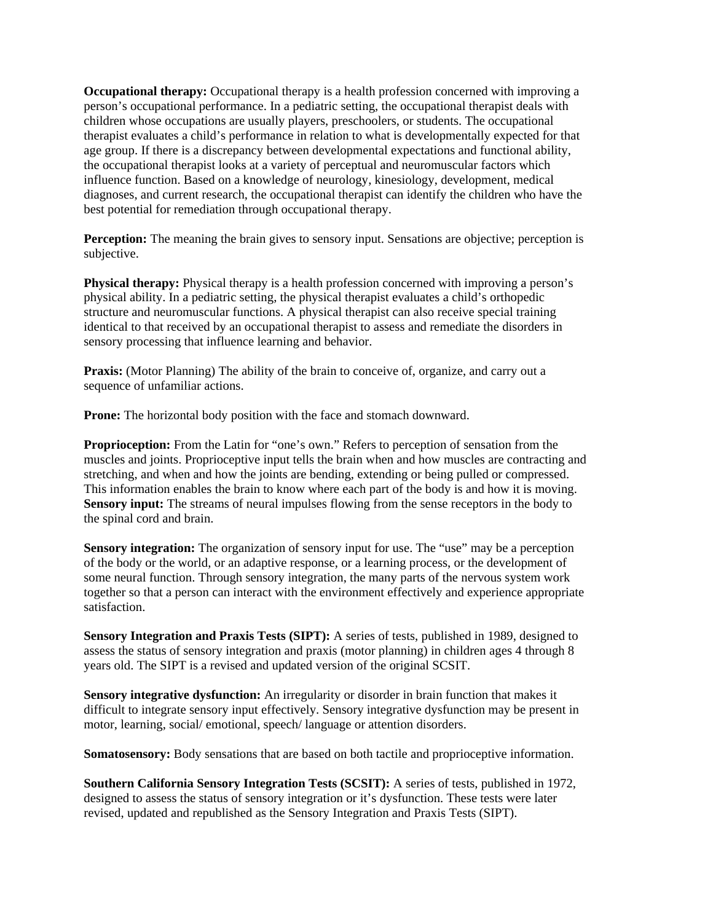**Occupational therapy:** Occupational therapy is a health profession concerned with improving a person's occupational performance. In a pediatric setting, the occupational therapist deals with children whose occupations are usually players, preschoolers, or students. The occupational therapist evaluates a child's performance in relation to what is developmentally expected for that age group. If there is a discrepancy between developmental expectations and functional ability, the occupational therapist looks at a variety of perceptual and neuromuscular factors which influence function. Based on a knowledge of neurology, kinesiology, development, medical diagnoses, and current research, the occupational therapist can identify the children who have the best potential for remediation through occupational therapy.

**Perception:** The meaning the brain gives to sensory input. Sensations are objective; perception is subjective.

**Physical therapy:** Physical therapy is a health profession concerned with improving a person's physical ability. In a pediatric setting, the physical therapist evaluates a child's orthopedic structure and neuromuscular functions. A physical therapist can also receive special training identical to that received by an occupational therapist to assess and remediate the disorders in sensory processing that influence learning and behavior.

Praxis: (Motor Planning) The ability of the brain to conceive of, organize, and carry out a sequence of unfamiliar actions.

Prone: The horizontal body position with the face and stomach downward.

**Proprioception:** From the Latin for "one's own." Refers to perception of sensation from the muscles and joints. Proprioceptive input tells the brain when and how muscles are contracting and stretching, and when and how the joints are bending, extending or being pulled or compressed. This information enables the brain to know where each part of the body is and how it is moving. **Sensory input:** The streams of neural impulses flowing from the sense receptors in the body to the spinal cord and brain.

**Sensory integration:** The organization of sensory input for use. The "use" may be a perception of the body or the world, or an adaptive response, or a learning process, or the development of some neural function. Through sensory integration, the many parts of the nervous system work together so that a person can interact with the environment effectively and experience appropriate satisfaction.

**Sensory Integration and Praxis Tests (SIPT):** A series of tests, published in 1989, designed to assess the status of sensory integration and praxis (motor planning) in children ages 4 through 8 years old. The SIPT is a revised and updated version of the original SCSIT.

**Sensory integrative dysfunction:** An irregularity or disorder in brain function that makes it difficult to integrate sensory input effectively. Sensory integrative dysfunction may be present in motor, learning, social/ emotional, speech/ language or attention disorders.

**Somatosensory:** Body sensations that are based on both tactile and proprioceptive information.

**Southern California Sensory Integration Tests (SCSIT):** A series of tests, published in 1972, designed to assess the status of sensory integration or it's dysfunction. These tests were later revised, updated and republished as the Sensory Integration and Praxis Tests (SIPT).